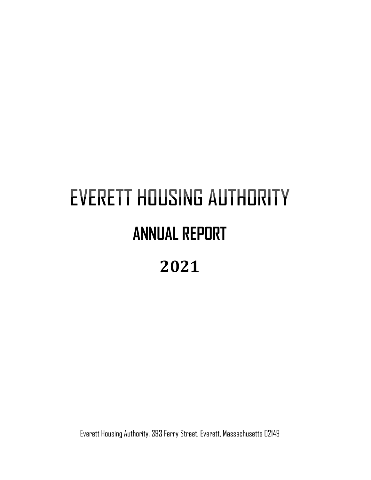# **EVERETT HOUSING AUTHORITY ANNUAL REPORT 2021**

Everett Housing Authority, 393 Ferry Street, Everett, Massachusetts 02149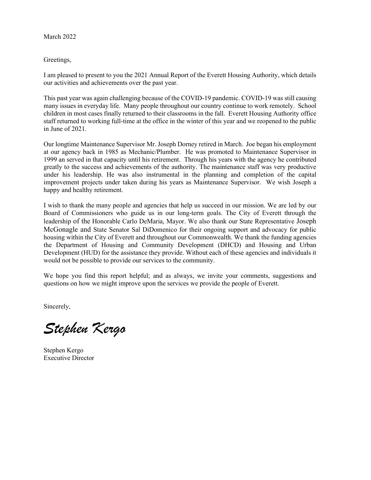March 2022

#### Greetings,

I am pleased to present to you the 2021 Annual Report of the Everett Housing Authority, which details our activities and achievements over the past year.

This past year was again challenging because of the COVID-19 pandemic. COVID-19 was still causing many issues in everyday life. Many people throughout our country continue to work remotely. School children in most cases finally returned to their classrooms in the fall. Everett Housing Authority office staff returned to working full-time at the office in the winter of this year and we reopened to the public in June of 2021.

Our longtime Maintenance Supervisor Mr. Joseph Dorney retired in March. Joe began his employment at our agency back in 1985 as Mechanic/Plumber. He was promoted to Maintenance Supervisor in 1999 an served in that capacity until his retirement. Through his years with the agency he contributed greatly to the success and achievements of the authority. The maintenance staff was very productive under his leadership. He was also instrumental in the planning and completion of the capital improvement projects under taken during his years as Maintenance Supervisor. We wish Joseph a happy and healthy retirement.

I wish to thank the many people and agencies that help us succeed in our mission. We are led by our Board of Commissioners who guide us in our long-term goals. The City of Everett through the leadership of the Honorable Carlo DeMaria, Mayor. We also thank our State Representative Joseph McGonagle and State Senator Sal DiDomenico for their ongoing support and advocacy for public housing within the City of Everett and throughout our Commonwealth. We thank the funding agencies the Department of Housing and Community Development (DHCD) and Housing and Urban Development (HUD) for the assistance they provide. Without each of these agencies and individuals it would not be possible to provide our services to the community.

We hope you find this report helpful; and as always, we invite your comments, suggestions and questions on how we might improve upon the services we provide the people of Everett.

Sincerely,

*Stephen Kergo*

Stephen Kergo Executive Director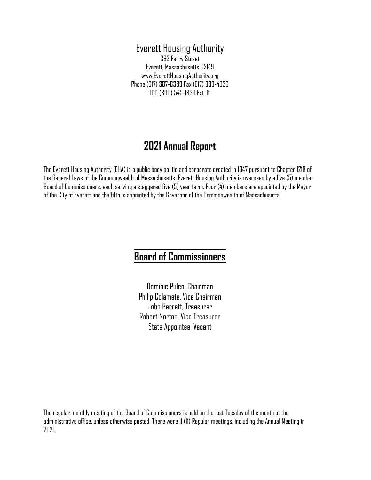### Everett Housing Authority 393 Ferry Street Everett, Massachusetts 02149 www.EverettHousingAuthority.org Phone (617) 387-6389 Fax (617) 389-4936 TDD (800) 545-1833 Ext. 111

# **2021 Annual Report**

The Everett Housing Authority (EHA) is a public body politic and corporate created in 1947 pursuant to Chapter 121B of the General Laws of the Commonwealth of Massachusetts. Everett Housing Authority is overseen by a five (5) member Board of Commissioners, each serving a staggered five (5) year term. Four (4) members are appointed by the Mayor of the City of Everett and the fifth is appointed by the Governor of the Commonwealth of Massachusetts.

# **Board of Commissioners**

Dominic Puleo, Chairman Philip Colameta, Vice Chairman John Barrett, Treasurer Robert Norton, Vice Treasurer State Appointee, Vacant

The regular monthly meeting of the Board of Commissioners is held on the last Tuesday of the month at the administrative office, unless otherwise posted. There were 11 (11) Regular meetings, including the Annual Meeting in 2021.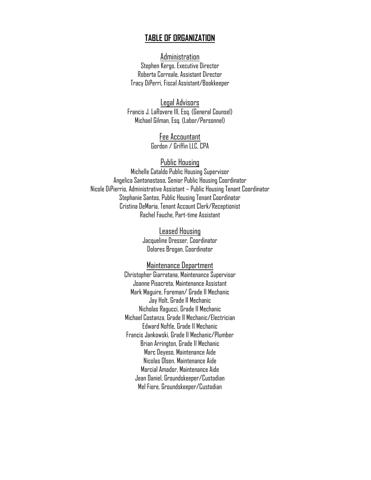#### **TABLE OF ORGANIZATION**

Administration Stephen Kergo, Executive Director Roberta Correale, Assistant Director Tracy DiPerri, Fiscal Assistant/Bookkeeper

Legal Advisors Francis J. LaRovere III, Esq. (General Counsel) Michael Gilman, Esq. (Labor/Personnel)

> Fee Accountant Gordon / Griffin LLC, CPA

#### Public Housing

Michelle Cataldo Public Housing Supervisor Angelica Santonastaso, Senior Public Housing Coordinator Nicole DiPierrio, Administrative Assistant – Public Housing Tenant Coordinator Stephanie Santos, Public Housing Tenant Coordinator Cristina DeMaria, Tenant Account Clerk/Receptionist Rachel Fauche, Part-time Assistant

> Leased Housing Jacqueline Dresser, Coordinator Dolores Brogan, Coordinator

#### Maintenance Department

Christopher Giarratana, Maintenance Supervisor Joanne Pisacreta, Maintenance Assistant Mark Maguire, Foreman/ Grade II Mechanic Jay Holt, Grade II Mechanic Nicholas Ragucci, Grade II Mechanic Michael Costanza, Grade II Mechanic/Electrician Edward Noftle, Grade II Mechanic Francis Jankowski, Grade II Mechanic/Plumber Brian Arrington, Grade II Mechanic Marc Deyeso, Maintenance Aide Nicolas Olsen, Maintenance Aide Marcial Amador, Maintenance Aide Jean Daniel, Groundskeeper/Custodian Mel Fiore, Groundskeeper/Custodian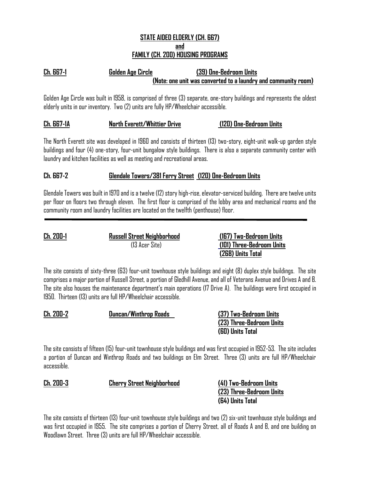#### **STATE AIDED ELDERLY (CH. 667) and FAMILY (CH. 200) HOUSING PROGRAMS**

## **Ch. 667-1 Golden Age Circle (39) One-Bedroom Units (Note: one unit was converted to a laundry and community room)**

Golden Age Circle was built in 1958, is comprised of three (3) separate, one-story buildings and represents the oldest elderly units in our inventory. Two (2) units are fully HP/Wheelchair accessible.

#### **Ch. 667-1A North Everett/Whittier Drive (120) One-Bedroom Units**

The North Everett site was developed in 1960 and consists of thirteen (13) two-story, eight-unit walk-up garden style buildings and four (4) one-story, four-unit bungalow style buildings. There is also a separate community center with laundry and kitchen facilities as well as meeting and recreational areas.

#### **Ch. 667-2 Glendale Towers/381 Ferry Street (120) One-Bedroom Units**

Glendale Towers was built in 1970 and is a twelve (12) story high-rise, elevator-serviced building. There are twelve units per floor on floors two through eleven. The first floor is comprised of the lobby area and mechanical rooms and the community room and laundry facilities are located on the twelfth (penthouse) floor.

**Ch. 200-1 Russell Street Neighborhood (167) Two-Bedroom Units** (13 Acer Site) **(101) Three-Bedroom Units (268) Units Total**

The site consists of sixty-three (63) four-unit townhouse style buildings and eight (8) duplex style buildings. The site comprises a major portion of Russell Street, a portion of Gledhill Avenue, and all of Veterans Avenue and Drives A and B. The site also houses the maintenance department's main operations (17 Drive A). The buildings were first occupied in 1950. Thirteen (13) units are full HP/Wheelchair accessible.

| <b>Ch. 200-2</b> | Duncan/Winthrop Roads | (37) Two-Bedroom Units   |
|------------------|-----------------------|--------------------------|
|                  |                       | (23) Three-Bedroom Units |
|                  |                       | (60) Units Total         |

The site consists of fifteen (15) four-unit townhouse style buildings and was first occupied in 1952-53. The site includes a portion of Duncan and Winthrop Roads and two buildings on Elm Street. Three (3) units are full HP/Wheelchair accessible.

| <b>Ch. 200-3</b> | <b>Cherry Street Neighborhood</b> | (41) Two-Bedroom Units   |
|------------------|-----------------------------------|--------------------------|
|                  |                                   | (23) Three-Bedroom Units |
|                  |                                   | (64) Units Total         |
|                  |                                   |                          |

The site consists of thirteen (13) four-unit townhouse style buildings and two (2) six-unit townhouse style buildings and was first occupied in 1955. The site comprises a portion of Cherry Street, all of Roads A and B, and one building on Woodlawn Street. Three (3) units are full HP/Wheelchair accessible.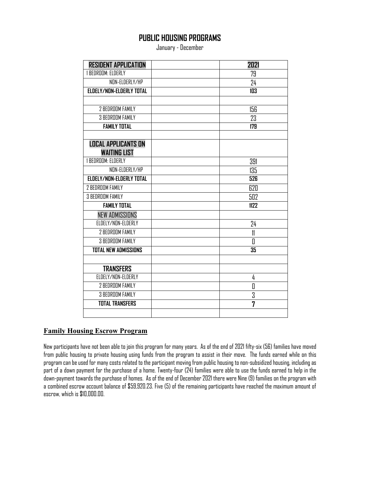# **PUBLIC HOUSING PROGRAMS**

January - December

| <b>RESIDENT APPLICATION</b> | 2021           |  |
|-----------------------------|----------------|--|
| <b>1 BEDROOM: ELDERLY</b>   | 79             |  |
| NON-ELDERLY/HP              | 24             |  |
| ELDELY/NON-ELDERLY TOTAL    | 103            |  |
|                             |                |  |
| 2 BEDROOM FAMILY            | 156            |  |
| 3 BEDROOM FAMILY            | 23             |  |
| <b>FAMILY TOTAL</b>         | 179            |  |
|                             |                |  |
| <b>LOCAL APPLICANTS ON</b>  |                |  |
| <b>WAITING LIST</b>         |                |  |
| <b>1 BEDROOM: ELDERLY</b>   | 391            |  |
| NON-ELDERLY/HP              | 135            |  |
| ELDELY/NON-ELDERLY TOTAL    | 526            |  |
| 2 BEDROOM FAMILY            | 620            |  |
| <b>3 BEDROOM FAMILY</b>     | 502            |  |
| <b>FAMILY TOTAL</b>         | 1122           |  |
| <b>NEW ADMISSIONS</b>       |                |  |
| ELDELY/NON-ELDERLY          | 24             |  |
| <b>2 BEDROOM FAMILY</b>     | $\mathfrak{m}$ |  |
| <b>3 BEDROOM FAMILY</b>     | 0              |  |
| <b>TOTAL NEW ADMISSIONS</b> | 35             |  |
|                             |                |  |
| <b>TRANSFERS</b>            |                |  |
| ELDELY/NON-ELDERLY          | 4              |  |
| 2 BEDROOM FAMILY            | 0              |  |
| <b>3 BEDROOM FAMILY</b>     | 3              |  |
| <b>TOTAL TRANSFERS</b>      | 7              |  |
|                             |                |  |

#### **Family Housing Escrow Program**

New participants have not been able to join this program for many years. As of the end of 2021 fifty-six (56) families have moved from public housing to private housing using funds from the program to assist in their move. The funds earned while on this program can be used for many costs related to the participant moving from public housing to non-subsidized housing, including as part of a down payment for the purchase of a home. Twenty-four (24) families were able to use the funds earned to help in the down-payment towards the purchase of homes. As of the end of December 2021 there were Nine (9) families on the program with a combined escrow account balance of \$59,920.23. Five (5) of the remaining participants have reached the maximum amount of escrow, which is \$10,000.00.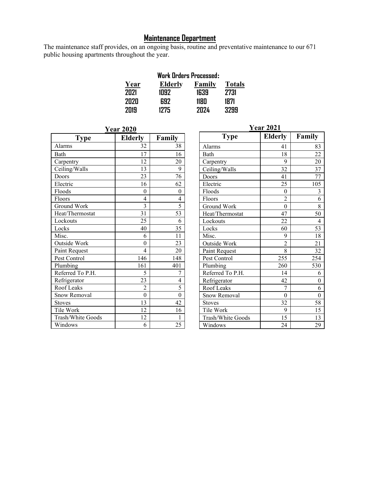#### **Maintenance Department**

The maintenance staff provides, on an ongoing basis, routine and preventative maintenance to our 671 public housing apartments throughout the year.

|      | <b>Work Orders Processed:</b> |              |               |  |  |
|------|-------------------------------|--------------|---------------|--|--|
| Year | <b>Elderly</b>                | Family       | <b>Totals</b> |  |  |
| 2021 | 1092                          | 1639         | 2731          |  |  |
| 2020 | 692                           | 1180         | 1871          |  |  |
| 2019 | 1275                          | 707 <i>L</i> | 3799          |  |  |

| <b>Year 2020</b>  |                |          |  |  |  |
|-------------------|----------------|----------|--|--|--|
| Type              | <b>Elderly</b> | Family   |  |  |  |
| Alarms            | 32             | 38       |  |  |  |
| <b>Bath</b>       | 17             | 16       |  |  |  |
| Carpentry         | 12             | 20       |  |  |  |
| Ceiling/Walls     | 13             | 9        |  |  |  |
| Doors             | 23             | 76       |  |  |  |
| Electric          | 16             | 62       |  |  |  |
| Floods            | 0              | 0        |  |  |  |
| Floors            | 4              | 4        |  |  |  |
| Ground Work       | 3              | 5        |  |  |  |
| Heat/Thermostat   | 31             | 53       |  |  |  |
| Lockouts          | 25             | 6        |  |  |  |
| Locks             | 40             | 35       |  |  |  |
| Misc.             | 6              | 11       |  |  |  |
| Outside Work      | 0              | 23       |  |  |  |
| Paint Request     | 4              | 20       |  |  |  |
| Pest Control      | 146            | 148      |  |  |  |
| Plumbing          | 161            | 401      |  |  |  |
| Referred To P.H.  | 5              | 7        |  |  |  |
| Refrigerator      | 23             | 4        |  |  |  |
| Roof Leaks        | $\overline{2}$ | 5        |  |  |  |
| Snow Removal      | $\theta$       | $\theta$ |  |  |  |
| <b>Stoves</b>     | 13             | 42       |  |  |  |
| Tile Work         | 12             | 16       |  |  |  |
| Trash/White Goods | 12             | 1        |  |  |  |
| Windows           | 6              | 25       |  |  |  |

| <b>Year 2021</b>  |                |                |  |  |
|-------------------|----------------|----------------|--|--|
| <b>Type</b>       | <b>Elderly</b> | Family         |  |  |
| Alarms            | 41             | 83             |  |  |
| Bath              | 18             | 22             |  |  |
| Carpentry         | 9              | 20             |  |  |
| Ceiling/Walls     | 32             | 37             |  |  |
| Doors             | 41             | 77             |  |  |
| Electric          | 25             | 105            |  |  |
| Floods            | $\overline{0}$ | 3              |  |  |
| Floors            | $\overline{2}$ | $\overline{6}$ |  |  |
| Ground Work       | $\theta$       | 8              |  |  |
| Heat/Thermostat   | 47             | 50             |  |  |
| Lockouts          | 22             | $\overline{4}$ |  |  |
| Locks             | 60             | 53             |  |  |
| Misc.             | 9              | 18             |  |  |
| Outside Work      | $\overline{2}$ | 21             |  |  |
| Paint Request     | 8              | 32             |  |  |
| Pest Control      | 255            | 254            |  |  |
| Plumbing          | 260            | 530            |  |  |
| Referred To P.H.  | 14             | 6              |  |  |
| Refrigerator      | 42             | 0              |  |  |
| Roof Leaks        | 7              | 6              |  |  |
| Snow Removal      | $\theta$       | $\theta$       |  |  |
| <b>Stoves</b>     | 32             | 58             |  |  |
| Tile Work         | 9              | 15             |  |  |
| Trash/White Goods | 15             | 13             |  |  |
| Windows           | 24             | 29             |  |  |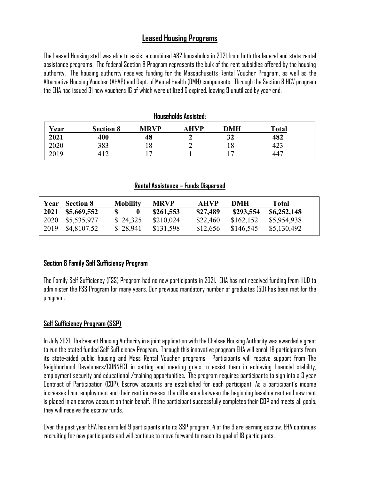# **Leased Housing Programs**

The Leased Housing staff was able to assist a combined 482 households in 2021 from both the federal and state rental assistance programs. The federal Section 8 Program represents the bulk of the rent subsidies offered by the housing authority. The housing authority receives funding for the Massachusetts Rental Voucher Program, as well as the Alternative Housing Voucher (AHVP) and Dept. of Mental Health (DMH) components. Through the Section 8 HCV program the EHA had issued 31 new vouchers 16 of which were utilized 6 expired, leaving 9 unutilized by year end.

| <b>Households Assisted:</b> |                  |             |      |            |       |  |
|-----------------------------|------------------|-------------|------|------------|-------|--|
| Year                        | <b>Section 8</b> | <b>MRVP</b> | AHVP | <b>DMH</b> | Total |  |
| 2021                        | 400              | 48          | σ    | 32         | 482   |  |
| 2020                        | 383              |             |      | 18         | 423   |  |
| 2019                        | 412              |             |      |            | 447   |  |

#### **Rental Assistance – Funds Dispersed**

|      | <b>Section 8</b> | <b>Mobility</b>  | <b>MRVP</b> | <b>AHVP</b> | DMH       | <b>Total</b> |
|------|------------------|------------------|-------------|-------------|-----------|--------------|
| 2021 | \$5,669,552      | $\boldsymbol{0}$ | \$261,553   | \$27,489    | \$293,554 | \$6,252,148  |
| 2020 | \$5,535,977      | \$24,325         | \$210,024   | \$22,460    | \$162,152 | \$5,954,938  |
| 2019 | \$4,8107.52      | \$28,941         | \$131,598   | \$12,656    | \$146,545 | \$5,130,492  |

#### **Section 8 Family Self Sufficiency Program**

The Family Self Sufficiency (FSS) Program had no new participants in 2021. EHA has not received funding from HUD to administer the FSS Program for many years. Our previous mandatory number of graduates (50) has been met for the program.

#### **Self Sufficiency Program (SSP)**

In July 2020 The Everett Housing Authority in a joint application with the Chelsea Housing Authority was awarded a grant to run the stated funded Self Sufficiency Program. Through this innovative program EHA will enroll 18 participants from its state-aided public housing and Mass Rental Voucher programs. Participants will receive support from The Neighborhood Developers/CONNECT in setting and meeting goals to assist them in achieving financial stability, employment security and educational /training opportunities. The program requires participants to sign into a 3 year Contract of Participation (COP). Escrow accounts are established for each participant. As a participant's income increases from employment and their rent increases, the difference between the beginning baseline rent and new rent is placed in an escrow account on their behalf. If the participant successfully completes their COP and meets all goals, they will receive the escrow funds.

Over the past year EHA has enrolled 9 participants into its SSP program, 4 of the 9 are earning escrow. EHA continues recruiting for new participants and will continue to move forward to reach its goal of 18 participants.